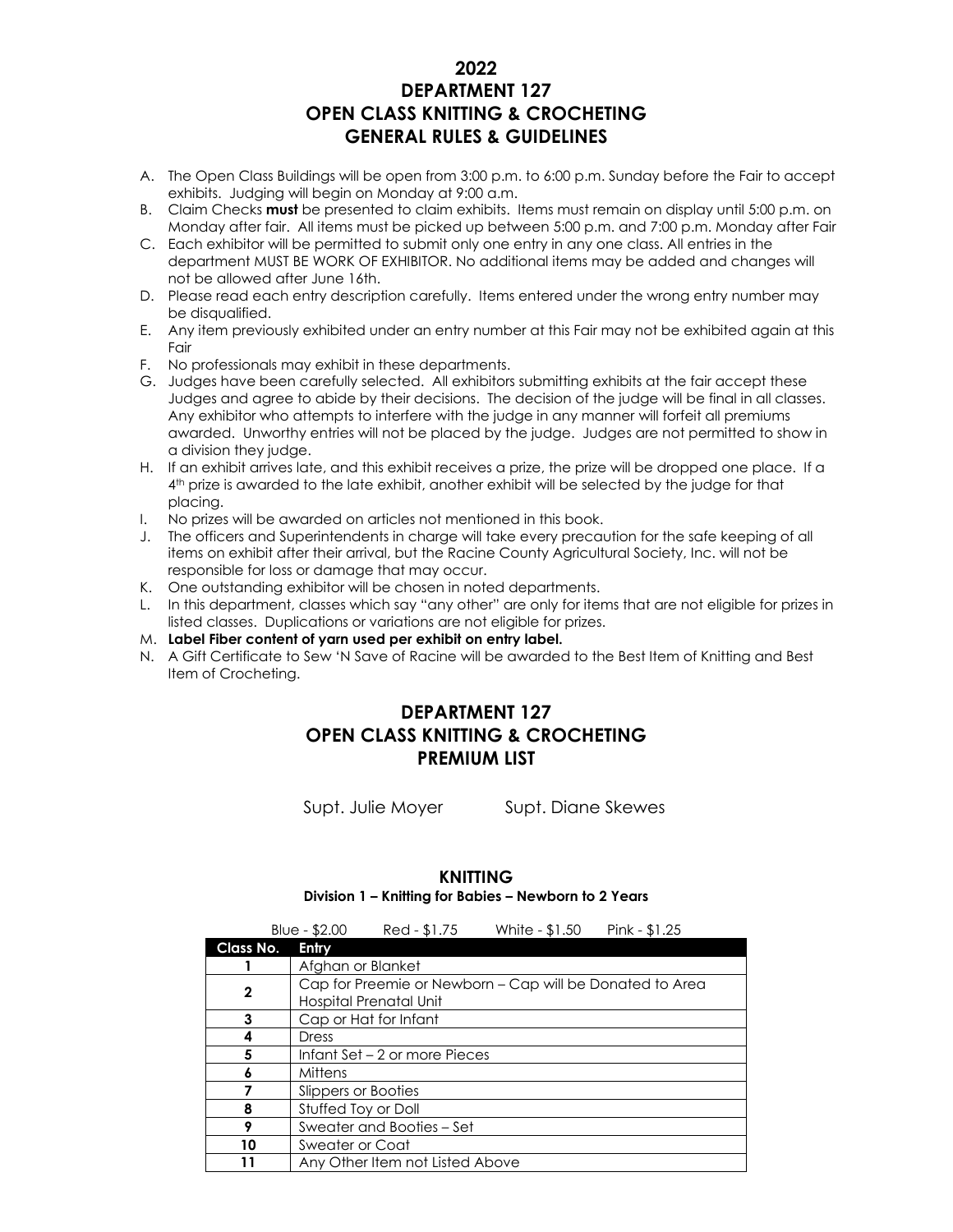#### **2022 DEPARTMENT 127 OPEN CLASS KNITTING & CROCHETING GENERAL RULES & GUIDELINES**

- A. The Open Class Buildings will be open from 3:00 p.m. to 6:00 p.m. Sunday before the Fair to accept exhibits. Judging will begin on Monday at 9:00 a.m.
- B. Claim Checks **must** be presented to claim exhibits. Items must remain on display until 5:00 p.m. on Monday after fair. All items must be picked up between 5:00 p.m. and 7:00 p.m. Monday after Fair
- C. Each exhibitor will be permitted to submit only one entry in any one class. All entries in the department MUST BE WORK OF EXHIBITOR. No additional items may be added and changes will not be allowed after June 16th.
- D. Please read each entry description carefully. Items entered under the wrong entry number may be disqualified.
- E. Any item previously exhibited under an entry number at this Fair may not be exhibited again at this Fair
- F. No professionals may exhibit in these departments.
- G. Judges have been carefully selected. All exhibitors submitting exhibits at the fair accept these Judges and agree to abide by their decisions. The decision of the judge will be final in all classes. Any exhibitor who attempts to interfere with the judge in any manner will forfeit all premiums awarded. Unworthy entries will not be placed by the judge. Judges are not permitted to show in a division they judge.
- H. If an exhibit arrives late, and this exhibit receives a prize, the prize will be dropped one place. If a 4 th prize is awarded to the late exhibit, another exhibit will be selected by the judge for that placing.
- I. No prizes will be awarded on articles not mentioned in this book.
- J. The officers and Superintendents in charge will take every precaution for the safe keeping of all items on exhibit after their arrival, but the Racine County Agricultural Society, Inc. will not be responsible for loss or damage that may occur.
- K. One outstanding exhibitor will be chosen in noted departments.
- L. In this department, classes which say "any other" are only for items that are not eligible for prizes in listed classes. Duplications or variations are not eligible for prizes.
- M. **Label Fiber content of yarn used per exhibit on entry label.**
- N. A Gift Certificate to Sew 'N Save of Racine will be awarded to the Best Item of Knitting and Best Item of Crocheting.

#### **DEPARTMENT 127 OPEN CLASS KNITTING & CROCHETING PREMIUM LIST**

Supt. Julie Moyer Supt. Diane Skewes

#### **KNITTING Division 1 – Knitting for Babies – Newborn to 2 Years**

|           | Blue - $$2.00$                | Red - \$1.75                                                                       | White - \$1.50 | Pink - $$1.25$ |  |  |
|-----------|-------------------------------|------------------------------------------------------------------------------------|----------------|----------------|--|--|
| Class No. | <b>Entry</b>                  |                                                                                    |                |                |  |  |
|           | Afghan or Blanket             |                                                                                    |                |                |  |  |
| 2         |                               | Cap for Preemie or Newborn – Cap will be Donated to Area<br>Hospital Prenatal Unit |                |                |  |  |
| 3         |                               | Cap or Hat for Infant                                                              |                |                |  |  |
|           | Dress                         |                                                                                    |                |                |  |  |
| 5         | Infant Set – 2 or more Pieces |                                                                                    |                |                |  |  |
| 6         | Mittens                       |                                                                                    |                |                |  |  |
|           | Slippers or Booties           |                                                                                    |                |                |  |  |
| 8         | Stuffed Toy or Doll           |                                                                                    |                |                |  |  |
| 9         | Sweater and Booties - Set     |                                                                                    |                |                |  |  |
| 10        | Sweater or Coat               |                                                                                    |                |                |  |  |
|           |                               | Any Other Item not Listed Above                                                    |                |                |  |  |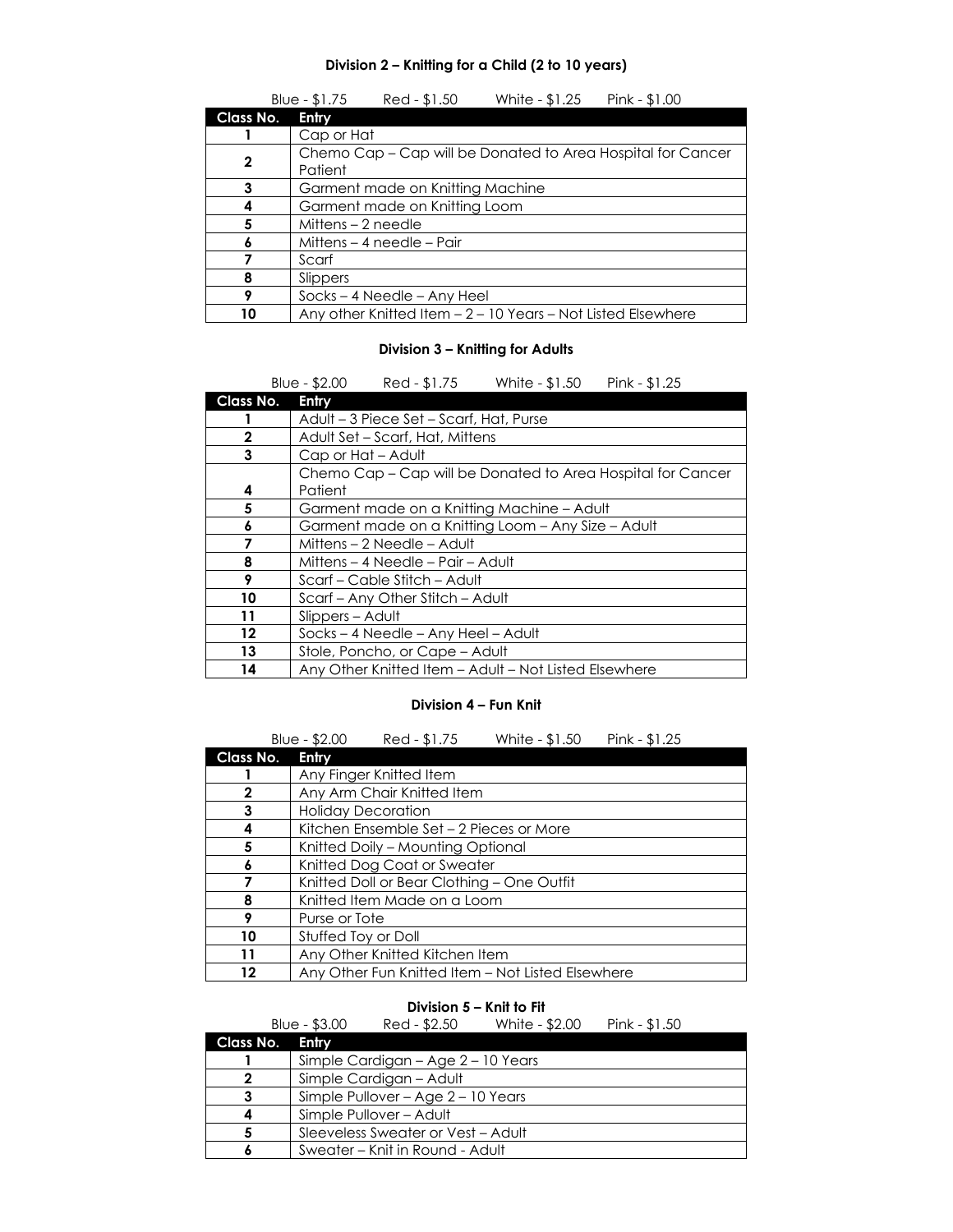#### **Division 2 – Knitting for a Child (2 to 10 years)**

|           | Red - \$1.50<br>White - \$1.25<br>Blue - \$1.75<br>Pink - \$1.00       |  |  |  |  |  |
|-----------|------------------------------------------------------------------------|--|--|--|--|--|
| Class No. | Entry                                                                  |  |  |  |  |  |
|           | Cap or Hat                                                             |  |  |  |  |  |
| 2         | Chemo Cap – Cap will be Donated to Area Hospital for Cancer<br>Patient |  |  |  |  |  |
| 3         | Garment made on Knitting Machine                                       |  |  |  |  |  |
|           | Garment made on Knitting Loom                                          |  |  |  |  |  |
| 5         | Mittens $-2$ needle                                                    |  |  |  |  |  |
|           | Mittens – 4 needle – Pair                                              |  |  |  |  |  |
|           | Scarf                                                                  |  |  |  |  |  |
| 8         | Slippers                                                               |  |  |  |  |  |
| 9         | $Socks - 4 Needle - Any Heel$                                          |  |  |  |  |  |
| 10        | Any other Knitted Item - 2 - 10 Years - Not Listed Elsewhere           |  |  |  |  |  |

#### **Division 3 – Knitting for Adults**

|              | Blue - $$2.00$<br>Red - \$1.75<br>White - \$1.50<br>Pink - $$1.25$ |  |  |  |  |  |
|--------------|--------------------------------------------------------------------|--|--|--|--|--|
| Class No.    | Entry                                                              |  |  |  |  |  |
|              | Adult – 3 Piece Set – Scarf, Hat, Purse                            |  |  |  |  |  |
| $\mathbf{2}$ | Adult Set – Scarf, Hat, Mittens                                    |  |  |  |  |  |
| 3            | Cap or Hat - Adult                                                 |  |  |  |  |  |
|              | Chemo Cap – Cap will be Donated to Area Hospital for Cancer        |  |  |  |  |  |
| 4            | Patient                                                            |  |  |  |  |  |
| 5            | Garment made on a Knitting Machine - Adult                         |  |  |  |  |  |
| 6            | Garment made on a Knitting Loom - Any Size - Adult                 |  |  |  |  |  |
|              | Mittens - 2 Needle - Adult                                         |  |  |  |  |  |
| 8            | Mittens – 4 Needle – Pair – Adult                                  |  |  |  |  |  |
| 9            | Scarf – Cable Stitch – Adult                                       |  |  |  |  |  |
| 10           | Scarf – Any Other Stitch – Adult                                   |  |  |  |  |  |
| 11           | Slippers - Adult                                                   |  |  |  |  |  |
| 12           | Socks - 4 Needle - Any Heel - Adult                                |  |  |  |  |  |
| 13           | Stole, Poncho, or Cape - Adult                                     |  |  |  |  |  |
| 14           | Any Other Knitted Item - Adult - Not Listed Elsewhere              |  |  |  |  |  |

#### **Division 4 – Fun Knit**

|           | Blue - \$2.00                              | Red - \$1.75                            | White - \$1.50                                    | Pink - $$1.25$ |  |  |
|-----------|--------------------------------------------|-----------------------------------------|---------------------------------------------------|----------------|--|--|
| Class No. | <b>Entry</b>                               |                                         |                                                   |                |  |  |
|           |                                            | Any Finger Knitted Item                 |                                                   |                |  |  |
| 2         |                                            | Any Arm Chair Knitted Item              |                                                   |                |  |  |
| 3         |                                            | <b>Holiday Decoration</b>               |                                                   |                |  |  |
| 4         |                                            | Kitchen Ensemble Set - 2 Pieces or More |                                                   |                |  |  |
| 5         |                                            | Knitted Doily – Mounting Optional       |                                                   |                |  |  |
| 6         | Knitted Dog Coat or Sweater                |                                         |                                                   |                |  |  |
|           | Knitted Doll or Bear Clothing - One Outfit |                                         |                                                   |                |  |  |
| 8         | Knitted Item Made on a Loom                |                                         |                                                   |                |  |  |
| 9         | Purse or Tote                              |                                         |                                                   |                |  |  |
| 10        | Stuffed Toy or Doll                        |                                         |                                                   |                |  |  |
| 11        | Any Other Knitted Kitchen Item             |                                         |                                                   |                |  |  |
| 12        |                                            |                                         | Any Other Fun Knitted Item - Not Listed Elsewhere |                |  |  |

#### **Division 5 – Knit to Fit**

|           | Blue - \$3.00                      | Red - \$2.50                       | White - \$2.00 | Pink - \$1.50 |  |  |
|-----------|------------------------------------|------------------------------------|----------------|---------------|--|--|
| Class No. | Entry                              |                                    |                |               |  |  |
|           |                                    | Simple Cardigan - Age 2 - 10 Years |                |               |  |  |
| 2         |                                    | Simple Cardigan - Adult            |                |               |  |  |
| 3         | Simple Pullover - Age 2 - 10 Years |                                    |                |               |  |  |
|           |                                    | Simple Pullover - Adult            |                |               |  |  |
| 5         | Sleeveless Sweater or Vest - Adult |                                    |                |               |  |  |
|           |                                    | Sweater – Knit in Round - Adult    |                |               |  |  |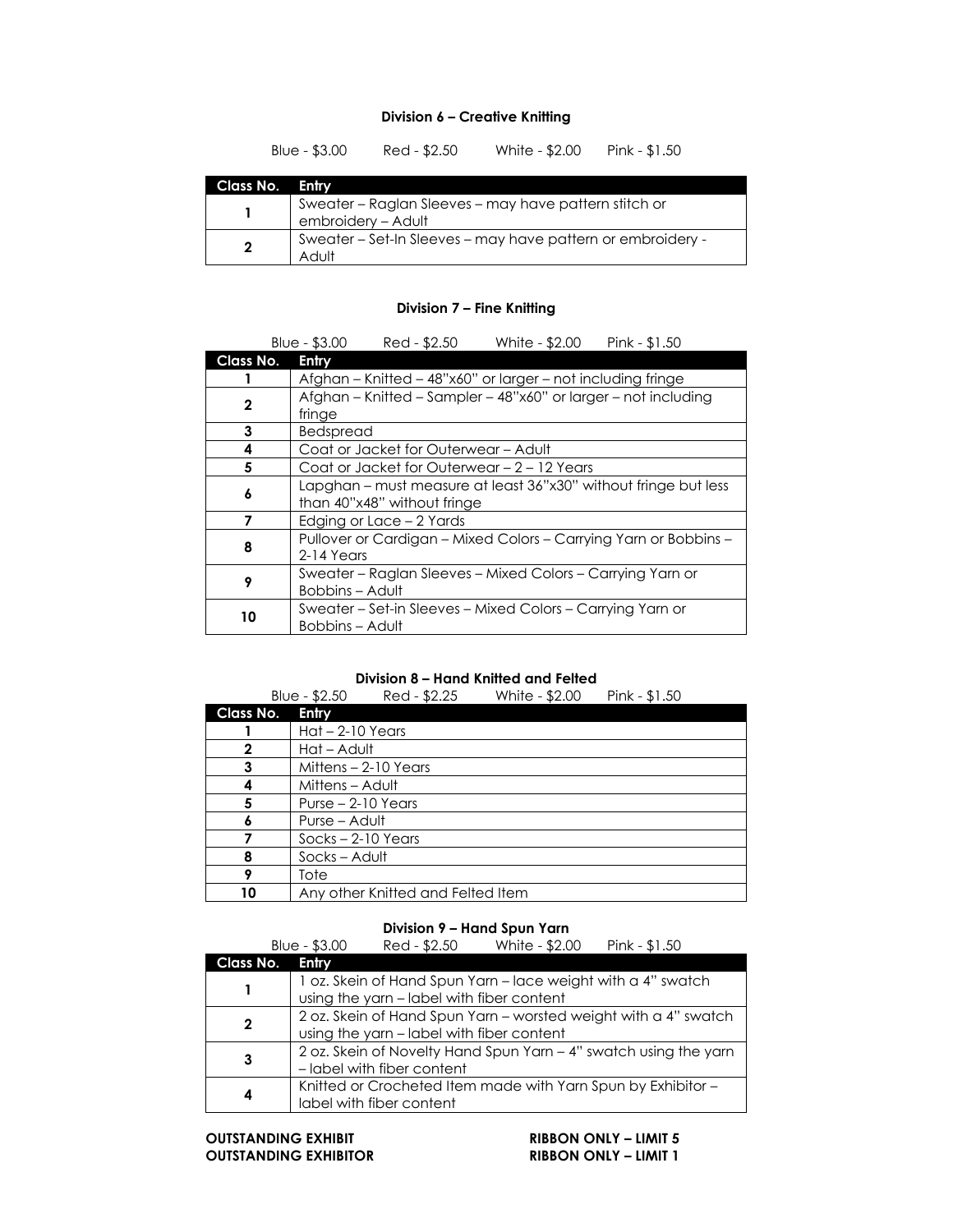#### **Division 6 – Creative Knitting**

|                | Blue - $$3.00$                                                              | Red - \$2.50 | White - \$2.00 | Pink - $$1.50$ |
|----------------|-----------------------------------------------------------------------------|--------------|----------------|----------------|
| Class No.      | Entry                                                                       |              |                |                |
|                | Sweater - Raglan Sleeves - may have pattern stitch or<br>embroidery - Adult |              |                |                |
| $\overline{2}$ | Sweater - Set-In Sleeves - may have pattern or embroidery -<br>Adult        |              |                |                |

#### **Division 7 – Fine Knitting**

|              | Red - \$2.50<br>White - \$2.00<br>Pink - \$1.50<br>Blue - $$3.00$                              |  |  |  |  |
|--------------|------------------------------------------------------------------------------------------------|--|--|--|--|
| Class No.    | Entry                                                                                          |  |  |  |  |
|              | Afghan - Knitted - 48"x60" or larger - not including fringe                                    |  |  |  |  |
| $\mathbf{2}$ | Afghan – Knitted – Sampler – 48"x60" or larger – not including<br>fringe                       |  |  |  |  |
| 3            | Bedspread                                                                                      |  |  |  |  |
| 4            | Coat or Jacket for Outerwear - Adult                                                           |  |  |  |  |
| 5            | Coat or Jacket for Outerwear – 2 – 12 Years                                                    |  |  |  |  |
| 6            | Lapghan – must measure at least 36"x30" without fringe but less<br>than 40"x48" without fringe |  |  |  |  |
| 7            | Edging or Lace - 2 Yards                                                                       |  |  |  |  |
| 8            | Pullover or Cardigan - Mixed Colors - Carrying Yarn or Bobbins -<br>2-14 Years                 |  |  |  |  |
| 9            | Sweater – Raglan Sleeves – Mixed Colors – Carrying Yarn or<br><b>Bobbins - Adult</b>           |  |  |  |  |
| 10           | Sweater – Set-in Sleeves – Mixed Colors – Carrying Yarn or<br>Bobbins – Adult                  |  |  |  |  |

#### **Division 8 – Hand Knitted and Felted**

|           | Blue - \$2.50        | Red - \$2.25                      | White - \$2.00 | Pink - $$1.50$ |  |
|-----------|----------------------|-----------------------------------|----------------|----------------|--|
| Class No. | Entry                |                                   |                |                |  |
|           | $Hat - 2-10$ Years   |                                   |                |                |  |
|           | Hat - Adult          |                                   |                |                |  |
| 3         |                      | Mittens - 2-10 Years              |                |                |  |
|           |                      | Mittens – Adult                   |                |                |  |
| 5         | Purse $-2-10$ Years  |                                   |                |                |  |
|           | Purse – Adult        |                                   |                |                |  |
|           | $Socks - 2-10$ Years |                                   |                |                |  |
|           | Socks – Adult        |                                   |                |                |  |
|           | Tote                 |                                   |                |                |  |
| 10        |                      | Any other Knitted and Felted Item |                |                |  |

#### **Division 9 – Hand Spun Yarn**

|           | Red - \$2.50<br>Blue - \$3.00                                    | White - \$2.00 | Pink - \$1.50 |  |  |
|-----------|------------------------------------------------------------------|----------------|---------------|--|--|
| Class No. | Entry                                                            |                |               |  |  |
|           | 1 oz. Skein of Hand Spun Yarn - lace weight with a 4" swatch     |                |               |  |  |
|           | using the yarn - label with fiber content                        |                |               |  |  |
| 2         | 2 oz. Skein of Hand Spun Yarn - worsted weight with a 4" swatch  |                |               |  |  |
|           | using the yarn - label with fiber content                        |                |               |  |  |
|           | 2 oz. Skein of Novelty Hand Spun Yarn - 4" swatch using the yarn |                |               |  |  |
| 3         | - label with fiber content                                       |                |               |  |  |
| 4         | Knitted or Crocheted Item made with Yarn Spun by Exhibitor -     |                |               |  |  |
|           | label with fiber content                                         |                |               |  |  |

**OUTSTANDING EXHIBIT**<br> **CUTSTANDING EXHIBITOR**<br> **RIBBON ONLY – LIMIT 1**  $\overline{O}$  **UITSTANDING EXHIBITOR**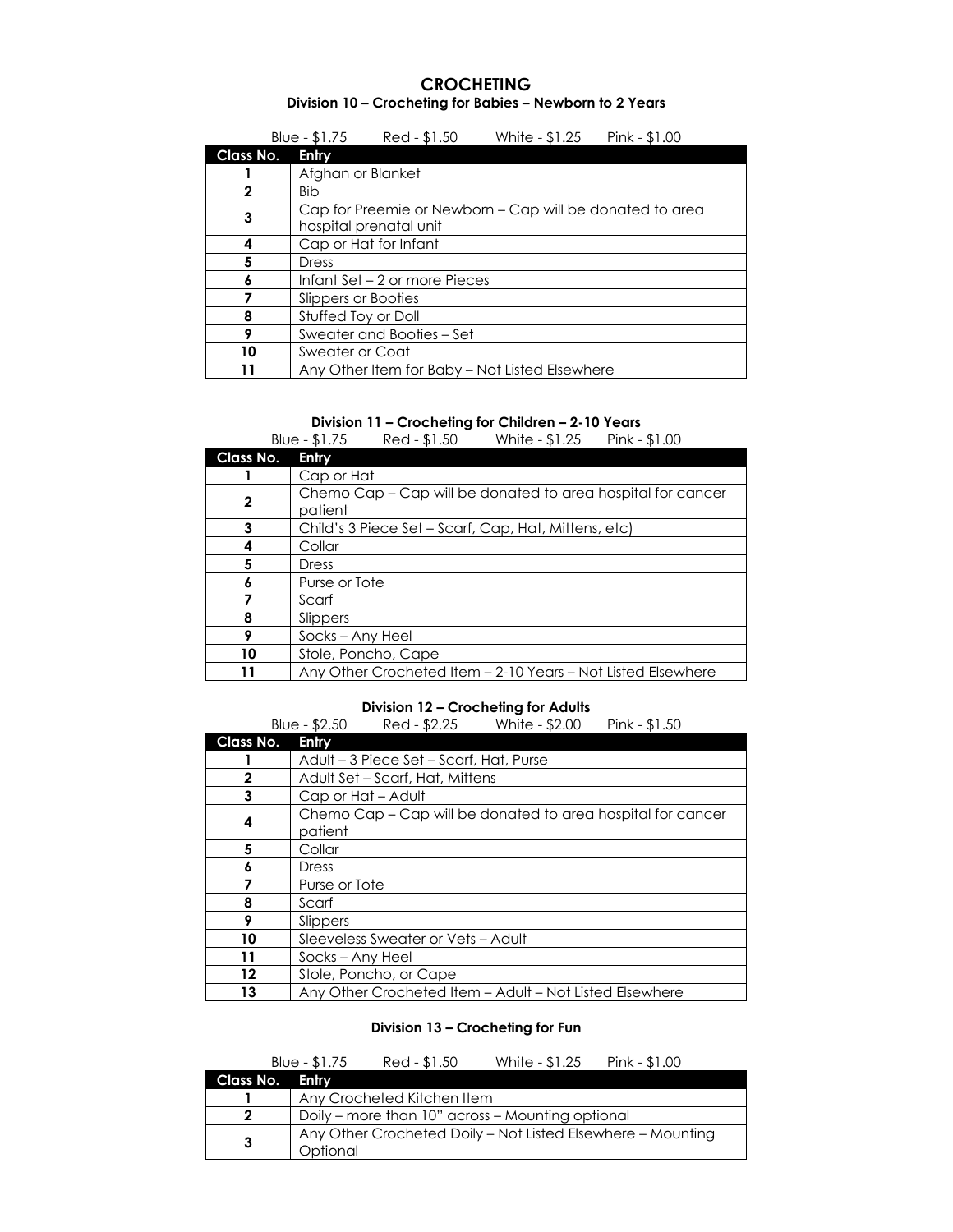#### **CROCHETING Division 10 – Crocheting for Babies – Newborn to 2 Years**

|           | Blue - $$1.75$                | Red - \$1.50                                                                       | White - \$1.25                                 | Pink - \$1.00 |  |  |
|-----------|-------------------------------|------------------------------------------------------------------------------------|------------------------------------------------|---------------|--|--|
| Class No. | Entry                         |                                                                                    |                                                |               |  |  |
|           | Afghan or Blanket             |                                                                                    |                                                |               |  |  |
| 2         | Bib                           |                                                                                    |                                                |               |  |  |
| 3         |                               | Cap for Preemie or Newborn – Cap will be donated to area<br>hospital prenatal unit |                                                |               |  |  |
| 4         |                               | Cap or Hat for Infant                                                              |                                                |               |  |  |
| 5         | Dress                         |                                                                                    |                                                |               |  |  |
|           | Infant Set – 2 or more Pieces |                                                                                    |                                                |               |  |  |
|           | Slippers or Booties           |                                                                                    |                                                |               |  |  |
| 8         | Stuffed Toy or Doll           |                                                                                    |                                                |               |  |  |
| 9         | Sweater and Booties – Set     |                                                                                    |                                                |               |  |  |
| 10        |                               | Sweater or Coat                                                                    |                                                |               |  |  |
|           |                               |                                                                                    | Any Other Item for Baby – Not Listed Elsewhere |               |  |  |

#### **Division 11 – Crocheting for Children – 2-10 Years**

|              | Blue - \$1.75    | Red - \$1.50                                                | White - \$1.25 | Pink - \$1.00                                                |  |  |
|--------------|------------------|-------------------------------------------------------------|----------------|--------------------------------------------------------------|--|--|
| Class No.    | Entry            |                                                             |                |                                                              |  |  |
|              | Cap or Hat       |                                                             |                |                                                              |  |  |
| $\mathbf{2}$ | patient          | Chemo Cap – Cap will be donated to area hospital for cancer |                |                                                              |  |  |
| 3            |                  | Child's 3 Piece Set – Scarf, Cap, Hat, Mittens, etc)        |                |                                                              |  |  |
|              | Collar           |                                                             |                |                                                              |  |  |
| 5            | Dress            |                                                             |                |                                                              |  |  |
|              | Purse or Tote    |                                                             |                |                                                              |  |  |
|              | Scarf            |                                                             |                |                                                              |  |  |
| 8            | Slippers         |                                                             |                |                                                              |  |  |
| 9            | Socks - Any Heel |                                                             |                |                                                              |  |  |
| 10           |                  | Stole, Poncho, Cape                                         |                |                                                              |  |  |
| 11           |                  |                                                             |                | Any Other Crocheted Item - 2-10 Years - Not Listed Elsewhere |  |  |

#### **Division 12 – Crocheting for Adults**

|           | Red - \$2.25<br>Blue - $$2.50$<br>White - \$2.00<br>Pink - \$1.50      |  |  |  |  |
|-----------|------------------------------------------------------------------------|--|--|--|--|
| Class No. | Entry                                                                  |  |  |  |  |
|           | Adult – 3 Piece Set – Scarf, Hat, Purse                                |  |  |  |  |
| 2         | Adult Set – Scarf, Hat, Mittens                                        |  |  |  |  |
| 3         | Cap or Hat - Adult                                                     |  |  |  |  |
| 4         | Chemo Cap – Cap will be donated to area hospital for cancer<br>patient |  |  |  |  |
| 5         | Collar                                                                 |  |  |  |  |
|           | Dress                                                                  |  |  |  |  |
|           | Purse or Tote                                                          |  |  |  |  |
| 8         | Scarf                                                                  |  |  |  |  |
| 9         | Slippers                                                               |  |  |  |  |
| 10        | Sleeveless Sweater or Vets - Adult                                     |  |  |  |  |
| 11        | Socks - Any Heel                                                       |  |  |  |  |
| 12        | Stole, Poncho, or Cape                                                 |  |  |  |  |
| 13        | Any Other Crocheted Item - Adult - Not Listed Elsewhere                |  |  |  |  |

#### **Division 13 – Crocheting for Fun**

|                 | Blue - $$1.75$                                                          | Red - \$1.50               | White - \$1.25 | Pink - \$1.00 |
|-----------------|-------------------------------------------------------------------------|----------------------------|----------------|---------------|
| Class No. Entry |                                                                         |                            |                |               |
|                 |                                                                         | Any Crocheted Kitchen Item |                |               |
| 2               | Doily – more than 10" across – Mounting optional                        |                            |                |               |
| 3               | Any Other Crocheted Doily – Not Listed Elsewhere – Mounting<br>Optional |                            |                |               |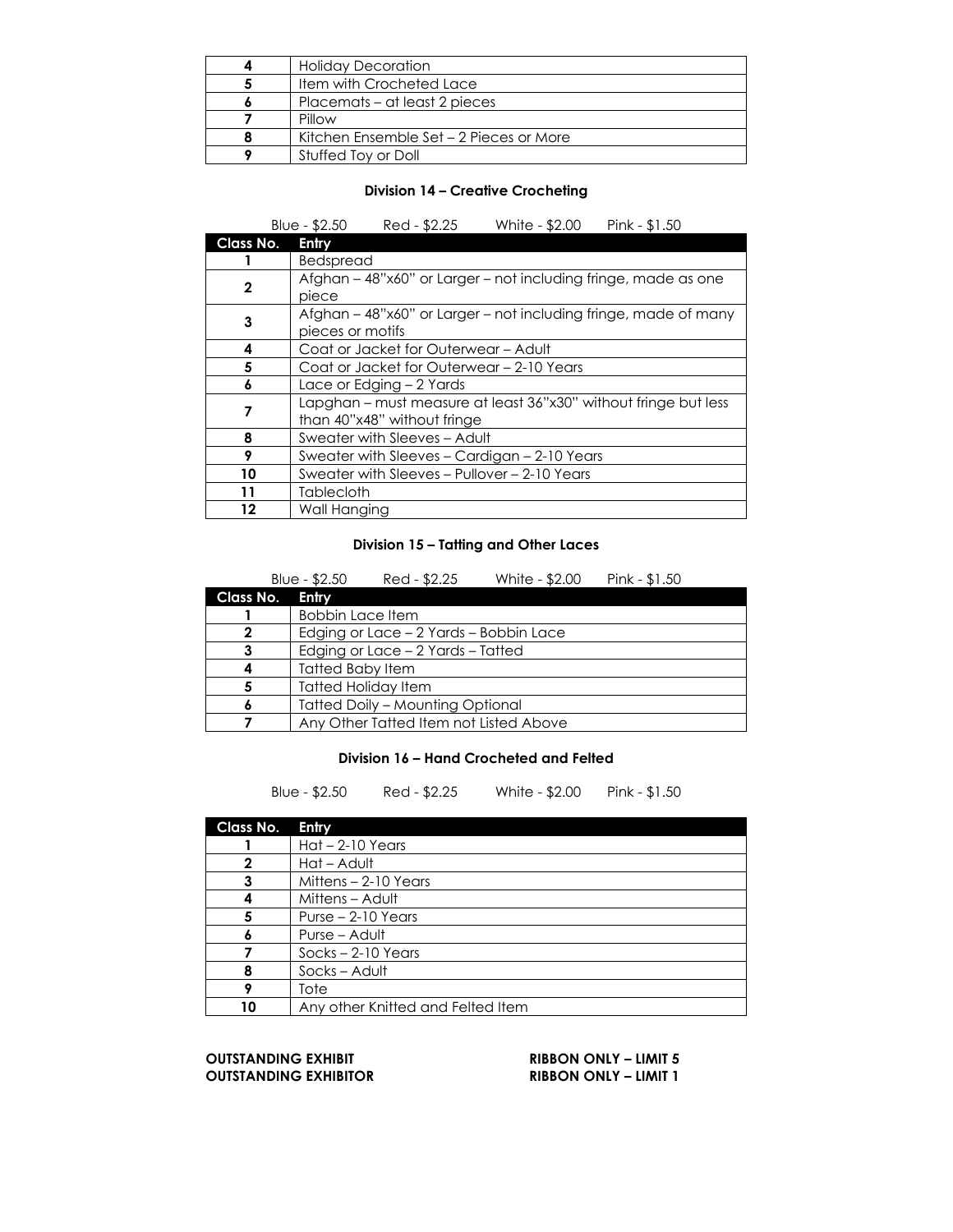|   | <b>Holiday Decoration</b>               |  |  |
|---|-----------------------------------------|--|--|
| 5 | <b>Item with Crocheted Lace</b>         |  |  |
|   | Placemats – at least 2 pieces           |  |  |
|   | Pillow                                  |  |  |
|   | Kitchen Ensemble Set - 2 Pieces or More |  |  |
|   | Stuffed Toy or Doll                     |  |  |

#### **Division 14 – Creative Crocheting**

|           | Blue - \$2.50<br>Red - \$2.25<br>White - \$2.00<br>Pink - $$1.50$                              |  |  |
|-----------|------------------------------------------------------------------------------------------------|--|--|
| Class No. | Entry                                                                                          |  |  |
|           | Bedspread                                                                                      |  |  |
| 2         | Afghan – 48"x60" or Larger – not including fringe, made as one<br>piece                        |  |  |
| 3         | Afghan – 48"x60" or Larger – not including fringe, made of many<br>pieces or motifs            |  |  |
| 4         | Coat or Jacket for Outerwear - Adult                                                           |  |  |
| 5         | Coat or Jacket for Outerwear – 2-10 Years                                                      |  |  |
| 6         | Lace or Edging – 2 Yards                                                                       |  |  |
| 7         | Lapghan – must measure at least 36"x30" without fringe but less<br>than 40"x48" without fringe |  |  |
| 8         | Sweater with Sleeves - Adult                                                                   |  |  |
| 9         | Sweater with Sleeves - Cardigan - 2-10 Years                                                   |  |  |
| 10        | Sweater with Sleeves - Pullover - 2-10 Years                                                   |  |  |
| 11        | Tablecloth                                                                                     |  |  |
| 12        | Wall Hanging                                                                                   |  |  |

#### **Division 15 – Tatting and Other Laces**

|           | Blue - $$2.50$                          | Red - \$2.25 | White - \$2.00 | Pink - $$1.50$ |  |
|-----------|-----------------------------------------|--------------|----------------|----------------|--|
| Class No. | Entry                                   |              |                |                |  |
|           | <b>Bobbin Lace Item</b>                 |              |                |                |  |
| 2         | Edging or Lace – 2 Yards – Bobbin Lace  |              |                |                |  |
| 3         | Edging or Lace - 2 Yards - Tatted       |              |                |                |  |
|           | <b>Tatted Baby Item</b>                 |              |                |                |  |
|           | <b>Tatted Holiday Item</b>              |              |                |                |  |
|           | <b>Tatted Doily - Mounting Optional</b> |              |                |                |  |
|           | Any Other Tatted Item not Listed Above  |              |                |                |  |

#### **Division 16 – Hand Crocheted and Felted**

Blue - \$2.50 Red - \$2.25 White - \$2.00 Pink - \$1.50

| Class No. | Entry                             |  |  |
|-----------|-----------------------------------|--|--|
|           | $Hat - 2-10$ Years                |  |  |
|           | Hat - Adult                       |  |  |
| 3         | Mittens - 2-10 Years              |  |  |
|           | Mittens - Adult                   |  |  |
| 5         | Purse $-2-10$ Years               |  |  |
| Λ         | Purse – Adult                     |  |  |
|           | $Socks - 2-10$ Years              |  |  |
| 8         | Socks-Adult                       |  |  |
|           | Tote                              |  |  |
| 10        | Any other Knitted and Felted Item |  |  |

**OUTSTANDING EXHIBIT RIBBON ONLY – LIMIT 5 OUTSTANDING EXHIBITOR RIBBON ONLY – LIMIT 1**